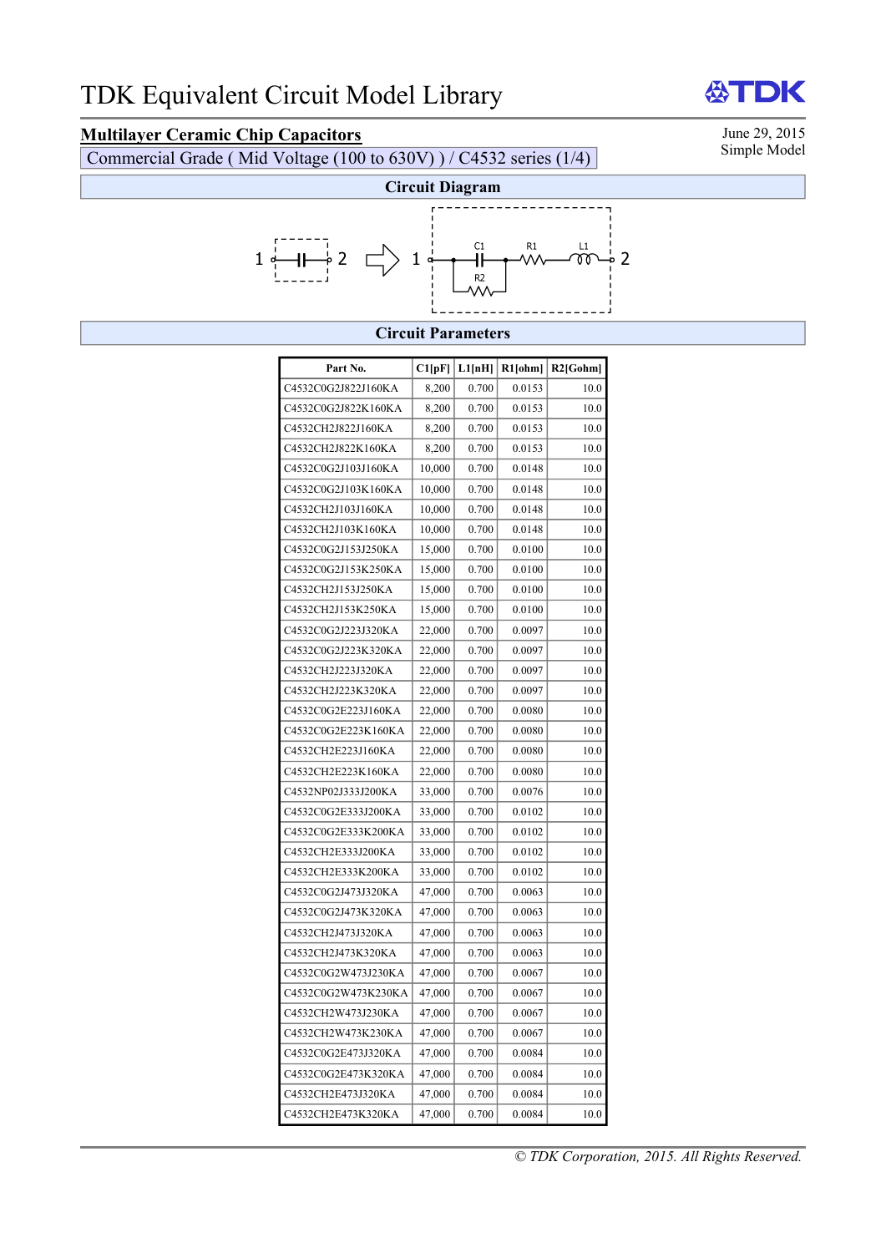# **Multilayer Ceramic Chip Capacitors**<br>Commercial Grade (Mid Voltage (100 to 630V) ) / C4532 series (1/4) Simple Model

Commercial Grade ( Mid Voltage (100 to 630V) ) / C4532 series (1/4)



#### **Circuit Parameters**

| Part No.            | Cl[pF] | L1[nH] | $R1$ [ohm] | $R2$ [Gohm] |
|---------------------|--------|--------|------------|-------------|
| C4532C0G2J822J160KA | 8,200  | 0.700  | 0.0153     | 10.0        |
| C4532C0G2J822K160KA | 8,200  | 0.700  | 0.0153     | 10.0        |
| C4532CH2J822J160KA  | 8,200  | 0.700  | 0.0153     | 10.0        |
| C4532CH2J822K160KA  | 8,200  | 0.700  | 0.0153     | 10.0        |
| C4532C0G2J103J160KA | 10,000 | 0.700  | 0.0148     | 10.0        |
| C4532C0G2J103K160KA | 10,000 | 0.700  | 0.0148     | 10.0        |
| C4532CH2J103J160KA  | 10,000 | 0.700  | 0.0148     | 10.0        |
| C4532CH2J103K160KA  | 10,000 | 0.700  | 0.0148     | 10.0        |
| C4532C0G2J153J250KA | 15,000 | 0.700  | 0.0100     | 10.0        |
| C4532C0G2J153K250KA | 15,000 | 0.700  | 0.0100     | 10.0        |
| C4532CH2J153J250KA  | 15,000 | 0.700  | 0.0100     | 10.0        |
| C4532CH2J153K250KA  | 15,000 | 0.700  | 0.0100     | 10.0        |
| C4532C0G2J223J320KA | 22,000 | 0.700  | 0.0097     | 10.0        |
| C4532C0G2J223K320KA | 22,000 | 0.700  | 0.0097     | 10.0        |
| C4532CH2J223J320KA  | 22,000 | 0.700  | 0.0097     | 10.0        |
| C4532CH2J223K320KA  | 22,000 | 0.700  | 0.0097     | 10.0        |
| C4532C0G2E223J160KA | 22,000 | 0.700  | 0.0080     | 10.0        |
| C4532C0G2E223K160KA | 22,000 | 0.700  | 0.0080     | 10.0        |
| C4532CH2E223J160KA  | 22,000 | 0.700  | 0.0080     | 10.0        |
| C4532CH2E223K160KA  | 22,000 | 0.700  | 0.0080     | 10.0        |
| C4532NP02J333J200KA | 33,000 | 0.700  | 0.0076     | 10.0        |
| C4532C0G2E333J200KA | 33,000 | 0.700  | 0.0102     | 10.0        |
| C4532C0G2E333K200KA | 33,000 | 0.700  | 0.0102     | 10.0        |
| C4532CH2E333J200KA  | 33,000 | 0.700  | 0.0102     | 10.0        |
| C4532CH2E333K200KA  | 33,000 | 0.700  | 0.0102     | 10.0        |
| C4532C0G2J473J320KA | 47,000 | 0.700  | 0.0063     | 10.0        |
| C4532C0G2J473K320KA | 47,000 | 0.700  | 0.0063     | 10.0        |
| C4532CH2J473J320KA  | 47,000 | 0.700  | 0.0063     | 10.0        |
| C4532CH2J473K320KA  | 47,000 | 0.700  | 0.0063     | 10.0        |
| C4532C0G2W473J230KA | 47,000 | 0.700  | 0.0067     | 10.0        |
| C4532C0G2W473K230KA | 47,000 | 0.700  | 0.0067     | 10.0        |
| C4532CH2W473J230KA  | 47,000 | 0.700  | 0.0067     | 10.0        |
| C4532CH2W473K230KA  | 47,000 | 0.700  | 0.0067     | 10.0        |
| C4532C0G2E473J320KA | 47,000 | 0.700  | 0.0084     | 10.0        |
| C4532C0G2E473K320KA | 47,000 | 0.700  | 0.0084     | 10.0        |
| C4532CH2E473J320KA  | 47,000 | 0.700  | 0.0084     | 10.0        |
| C4532CH2E473K320KA  | 47,000 | 0.700  | 0.0084     | 10.0        |

*© TDK Corporation, 2015. All Rights Reserved.* 

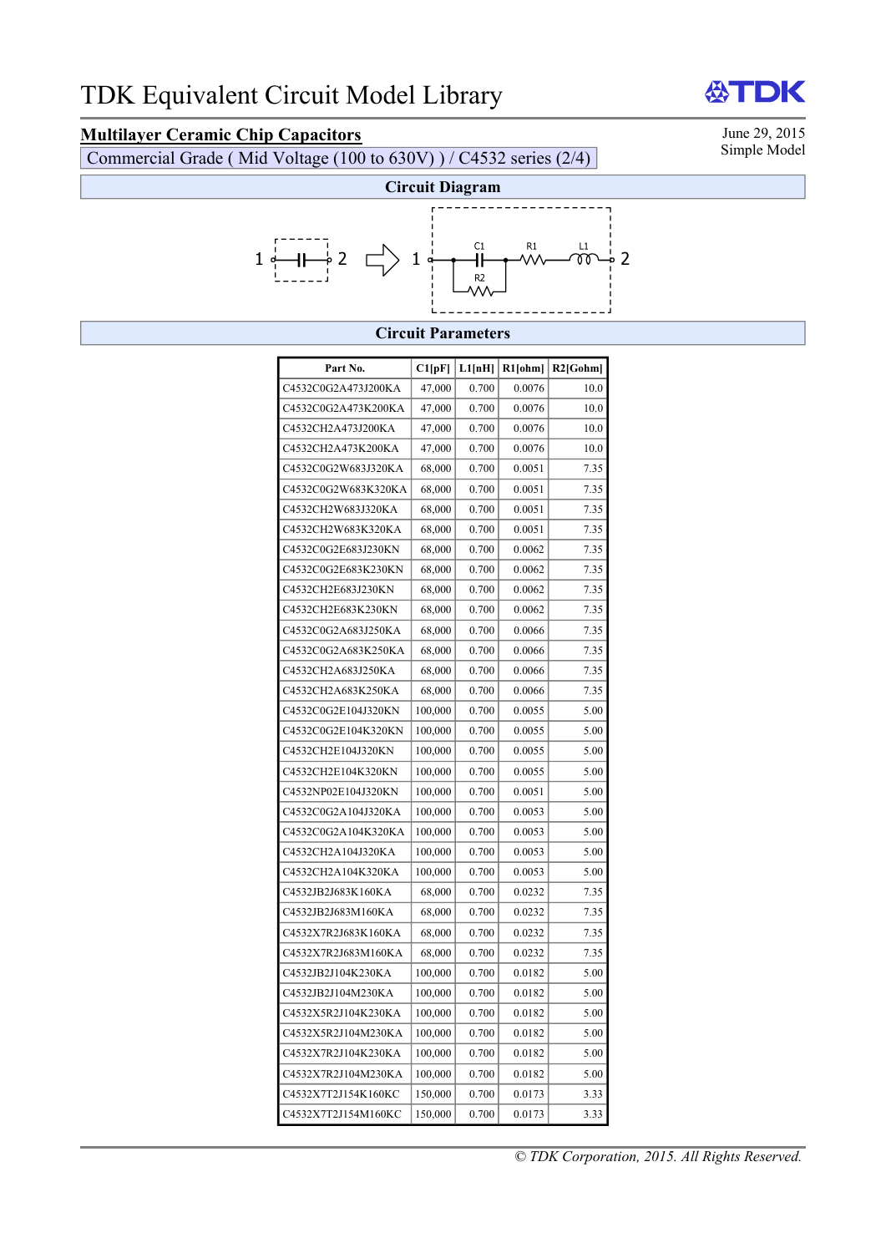# **Multilayer Ceramic Chip Capacitors**<br>Commercial Grade (Mid Voltage (100 to 630V) ) / C4532 series (2/4) Simple Model

Commercial Grade ( Mid Voltage (100 to 630V) ) / C4532 series (2/4)

TDK



#### **Circuit Parameters**

| Part No.            | Cl[pF]  | L1[nH] | R1[ohm] | $R2$ [Gohm] |
|---------------------|---------|--------|---------|-------------|
| C4532C0G2A473J200KA | 47,000  | 0.700  | 0.0076  | 10.0        |
| C4532C0G2A473K200KA | 47,000  | 0.700  | 0.0076  | 10.0        |
| C4532CH2A473J200KA  | 47,000  | 0.700  | 0.0076  | 10.0        |
| C4532CH2A473K200KA  | 47,000  | 0.700  | 0.0076  | 10.0        |
| C4532C0G2W683J320KA | 68,000  | 0.700  | 0.0051  | 7.35        |
| C4532C0G2W683K320KA | 68,000  | 0.700  | 0.0051  | 7.35        |
| C4532CH2W683J320KA  | 68,000  | 0.700  | 0.0051  | 7.35        |
| C4532CH2W683K320KA  | 68,000  | 0.700  | 0.0051  | 7.35        |
| C4532C0G2E683J230KN | 68,000  | 0.700  | 0.0062  | 7.35        |
| C4532C0G2E683K230KN | 68,000  | 0.700  | 0.0062  | 7.35        |
| C4532CH2E683J230KN  | 68,000  | 0.700  | 0.0062  | 7.35        |
| C4532CH2E683K230KN  | 68,000  | 0.700  | 0.0062  | 7.35        |
| C4532C0G2A683J250KA | 68,000  | 0.700  | 0.0066  | 7.35        |
| C4532C0G2A683K250KA | 68,000  | 0.700  | 0.0066  | 7.35        |
| C4532CH2A683J250KA  | 68,000  | 0.700  | 0.0066  | 7.35        |
| C4532CH2A683K250KA  | 68,000  | 0.700  | 0.0066  | 7.35        |
| C4532C0G2E104J320KN | 100,000 | 0.700  | 0.0055  | 5.00        |
| C4532C0G2E104K320KN | 100,000 | 0.700  | 0.0055  | 5.00        |
| C4532CH2E104J320KN  | 100,000 | 0.700  | 0.0055  | 5.00        |
| C4532CH2E104K320KN  | 100,000 | 0.700  | 0.0055  | 5.00        |
| C4532NP02E104J320KN | 100,000 | 0.700  | 0.0051  | 5.00        |
| C4532C0G2A104J320KA | 100,000 | 0.700  | 0.0053  | 5.00        |
| C4532C0G2A104K320KA | 100,000 | 0.700  | 0.0053  | 5.00        |
| C4532CH2A104J320KA  | 100,000 | 0.700  | 0.0053  | 5.00        |
| C4532CH2A104K320KA  | 100,000 | 0.700  | 0.0053  | 5.00        |
| C4532JB2J683K160KA  | 68,000  | 0.700  | 0.0232  | 7.35        |
| C4532JB2J683M160KA  | 68,000  | 0.700  | 0.0232  | 7.35        |
| C4532X7R2J683K160KA | 68,000  | 0.700  | 0.0232  | 7.35        |
| C4532X7R2J683M160KA | 68,000  | 0.700  | 0.0232  | 7.35        |
| C4532JB2J104K230KA  | 100,000 | 0.700  | 0.0182  | 5.00        |
| C4532JB2J104M230KA  | 100,000 | 0.700  | 0.0182  | 5.00        |
| C4532X5R2J104K230KA | 100,000 | 0.700  | 0.0182  | 5.00        |
| C4532X5R2J104M230KA | 100,000 | 0.700  | 0.0182  | 5.00        |
| C4532X7R2J104K230KA | 100,000 | 0.700  | 0.0182  | 5.00        |
| C4532X7R2J104M230KA | 100,000 | 0.700  | 0.0182  | 5.00        |
| C4532X7T2J154K160KC | 150,000 | 0.700  | 0.0173  | 3.33        |
| C4532X7T2J154M160KC | 150,000 | 0.700  | 0.0173  | 3.33        |

**AAT**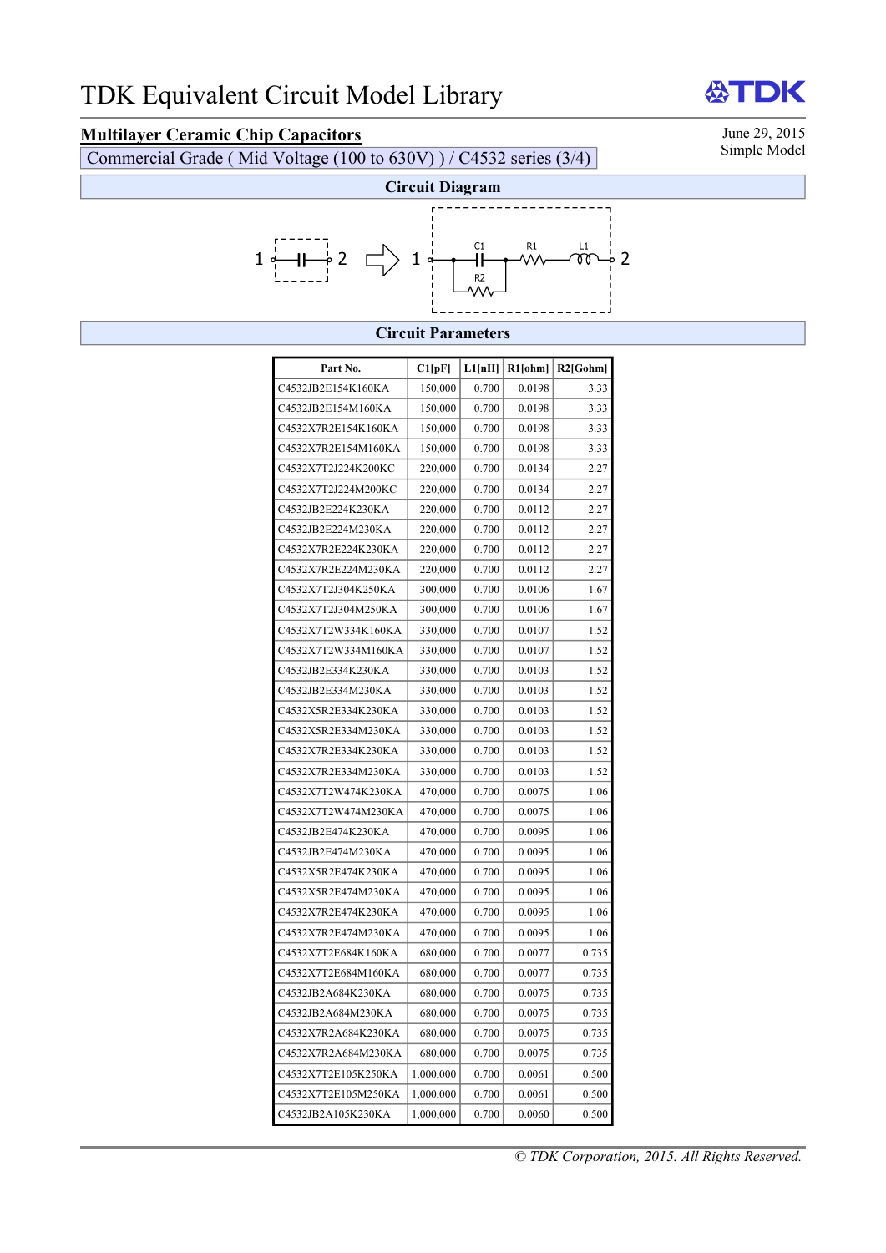# **Multilayer Ceramic Chip Capacitors**<br>Commercial Grade (Mid Voltage (100 to 630V) ) / C4532 series (3/4) Simple Model

Commercial Grade ( Mid Voltage (100 to 630V) ) / C4532 series (3/4)



#### **Circuit Parameters**

| Part No.            | Cl[pF]    | L1[nH] | R1[ohm] | $R2$ [Gohm] |
|---------------------|-----------|--------|---------|-------------|
| C4532JB2E154K160KA  | 150,000   | 0.700  | 0.0198  | 3.33        |
| C4532JB2E154M160KA  | 150,000   | 0.700  | 0.0198  | 3.33        |
| C4532X7R2E154K160KA | 150,000   | 0.700  | 0.0198  | 3.33        |
| C4532X7R2E154M160KA | 150,000   | 0.700  | 0.0198  | 3.33        |
| C4532X7T2J224K200KC | 220,000   | 0.700  | 0.0134  | 2.27        |
| C4532X7T2J224M200KC | 220,000   | 0.700  | 0.0134  | 2.27        |
| C4532JB2E224K230KA  | 220,000   | 0.700  | 0.0112  | 2.27        |
| C4532JB2E224M230KA  | 220,000   | 0.700  | 0.0112  | 2.27        |
| C4532X7R2E224K230KA | 220,000   | 0.700  | 0.0112  | 2.27        |
| C4532X7R2E224M230KA | 220,000   | 0.700  | 0.0112  | 2.27        |
| C4532X7T2J304K250KA | 300,000   | 0.700  | 0.0106  | 1.67        |
| C4532X7T2J304M250KA | 300,000   | 0.700  | 0.0106  | 1.67        |
| C4532X7T2W334K160KA | 330,000   | 0.700  | 0.0107  | 1.52        |
| C4532X7T2W334M160KA | 330,000   | 0.700  | 0.0107  | 1.52        |
| C4532JB2E334K230KA  | 330,000   | 0.700  | 0.0103  | 1.52        |
| C4532JB2E334M230KA  | 330,000   | 0.700  | 0.0103  | 1.52        |
| C4532X5R2E334K230KA | 330,000   | 0.700  | 0.0103  | 1.52        |
| C4532X5R2E334M230KA | 330,000   | 0.700  | 0.0103  | 1.52        |
| C4532X7R2E334K230KA | 330,000   | 0.700  | 0.0103  | 1.52        |
| C4532X7R2E334M230KA | 330,000   | 0.700  | 0.0103  | 1.52        |
| C4532X7T2W474K230KA | 470,000   | 0.700  | 0.0075  | 1.06        |
| C4532X7T2W474M230KA | 470,000   | 0.700  | 0.0075  | 1.06        |
| C4532JB2E474K230KA  | 470,000   | 0.700  | 0.0095  | 1.06        |
| C4532JB2E474M230KA  | 470,000   | 0.700  | 0.0095  | 1.06        |
| C4532X5R2E474K230KA | 470,000   | 0.700  | 0.0095  | 1.06        |
| C4532X5R2E474M230KA | 470,000   | 0.700  | 0.0095  | 1.06        |
| C4532X7R2E474K230KA | 470,000   | 0.700  | 0.0095  | 1.06        |
| C4532X7R2E474M230KA | 470,000   | 0.700  | 0.0095  | 1.06        |
| C4532X7T2E684K160KA | 680,000   | 0.700  | 0.0077  | 0.735       |
| C4532X7T2E684M160KA | 680,000   | 0.700  | 0.0077  | 0.735       |
| C4532JB2A684K230KA  | 680,000   | 0.700  | 0.0075  | 0.735       |
| C4532JB2A684M230KA  | 680,000   | 0.700  | 0.0075  | 0.735       |
| C4532X7R2A684K230KA | 680,000   | 0.700  | 0.0075  | 0.735       |
| C4532X7R2A684M230KA | 680,000   | 0.700  | 0.0075  | 0.735       |
| C4532X7T2E105K250KA | 1,000,000 | 0.700  | 0.0061  | 0.500       |
| C4532X7T2E105M250KA | 1,000,000 | 0.700  | 0.0061  | 0.500       |
| C4532JB2A105K230KA  | 1,000,000 | 0.700  | 0.0060  | 0.500       |